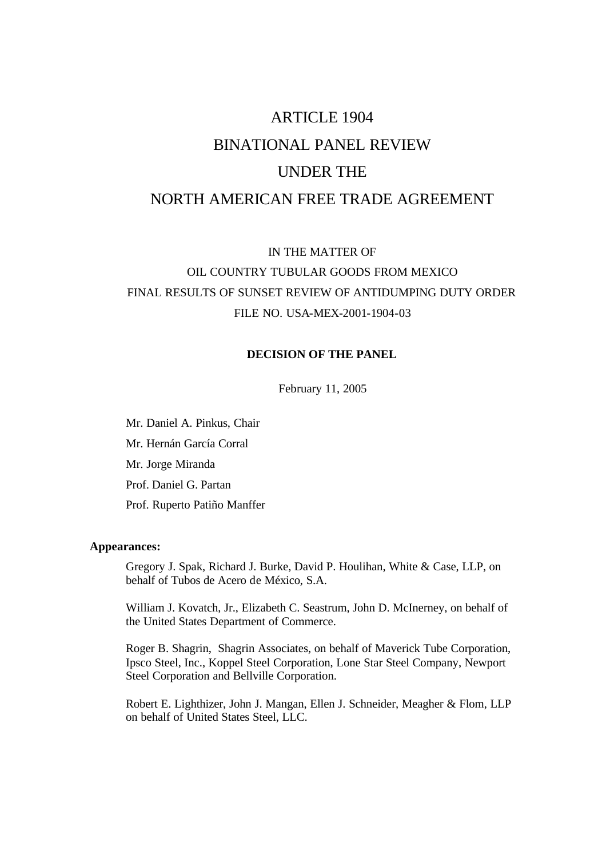# ARTICLE 1904 BINATIONAL PANEL REVIEW UNDER THE NORTH AMERICAN FREE TRADE AGREEMENT

IN THE MATTER OF OIL COUNTRY TUBULAR GOODS FROM MEXICO FINAL RESULTS OF SUNSET REVIEW OF ANTIDUMPING DUTY ORDER FILE NO. USA-MEX-2001-1904-03

# **DECISION OF THE PANEL**

February 11, 2005

Mr. Daniel A. Pinkus, Chair Mr. Hernán García Corral Mr. Jorge Miranda Prof. Daniel G. Partan Prof. Ruperto Patiño Manffer

#### **Appearances:**

Gregory J. Spak, Richard J. Burke, David P. Houlihan, White & Case, LLP, on behalf of Tubos de Acero de México, S.A.

William J. Kovatch, Jr., Elizabeth C. Seastrum, John D. McInerney, on behalf of the United States Department of Commerce.

Roger B. Shagrin, Shagrin Associates, on behalf of Maverick Tube Corporation, Ipsco Steel, Inc., Koppel Steel Corporation, Lone Star Steel Company, Newport Steel Corporation and Bellville Corporation.

Robert E. Lighthizer, John J. Mangan, Ellen J. Schneider, Meagher & Flom, LLP on behalf of United States Steel, LLC.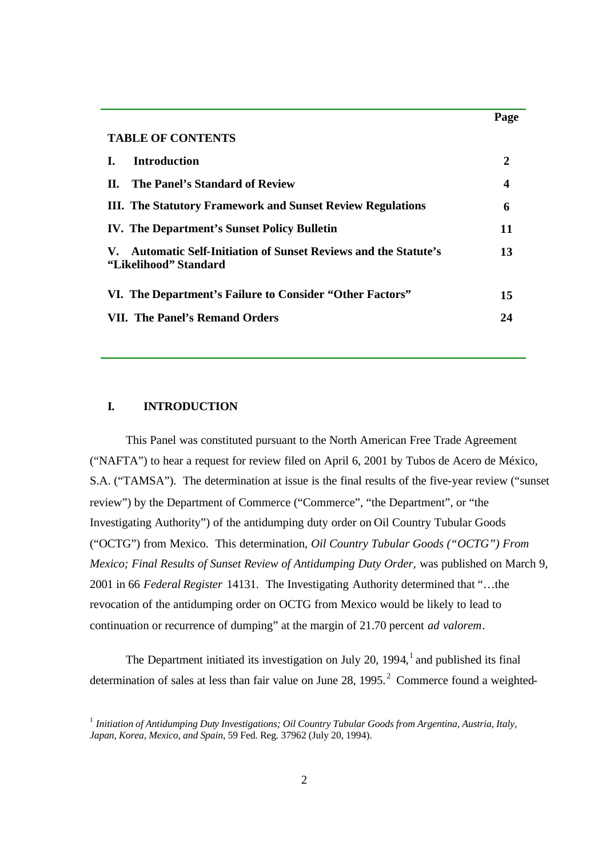| <b>TABLE OF CONTENTS</b>                                                                                             |    |
|----------------------------------------------------------------------------------------------------------------------|----|
| <b>Introduction</b>                                                                                                  | 2  |
| The Panel's Standard of Review<br>Н. -                                                                               | 4  |
| <b>III.</b> The Statutory Framework and Sunset Review Regulations                                                    | 6  |
| <b>IV.</b> The Department's Sunset Policy Bulletin                                                                   | 11 |
| <b>Automatic Self-Initiation of Sunset Reviews and the Statute's</b><br>$\mathbf{V}_{\tau}$<br>"Likelihood" Standard | 13 |
| VI. The Department's Failure to Consider "Other Factors"                                                             | 15 |
| VII. The Panel's Remand Orders                                                                                       | 24 |

**Page**

#### **I. INTRODUCTION**

This Panel was constituted pursuant to the North American Free Trade Agreement ("NAFTA") to hear a request for review filed on April 6, 2001 by Tubos de Acero de México, S.A. ("TAMSA"). The determination at issue is the final results of the five-year review ("sunset review") by the Department of Commerce ("Commerce", "the Department", or "the Investigating Authority") of the antidumping duty order on Oil Country Tubular Goods ("OCTG") from Mexico. This determination, *Oil Country Tubular Goods ("OCTG") From Mexico; Final Results of Sunset Review of Antidumping Duty Order, was published on March 9,* 2001 in 66 *Federal Register* 14131. The Investigating Authority determined that "…the revocation of the antidumping order on OCTG from Mexico would be likely to lead to continuation or recurrence of dumping" at the margin of 21.70 percent *ad valorem*.

The Department initiated its investigation on July 20, 1994, $<sup>1</sup>$  and published its final</sup> determination of sales at less than fair value on June 28, 1995. $^2$  Commerce found a weighted-

<sup>1</sup> *Initiation of Antidumping Duty Investigations; Oil Country Tubular Goods from Argentina, Austria, Italy, Japan, Korea, Mexico, and Spain,* 59 Fed. Reg*.* 37962 (July 20, 1994).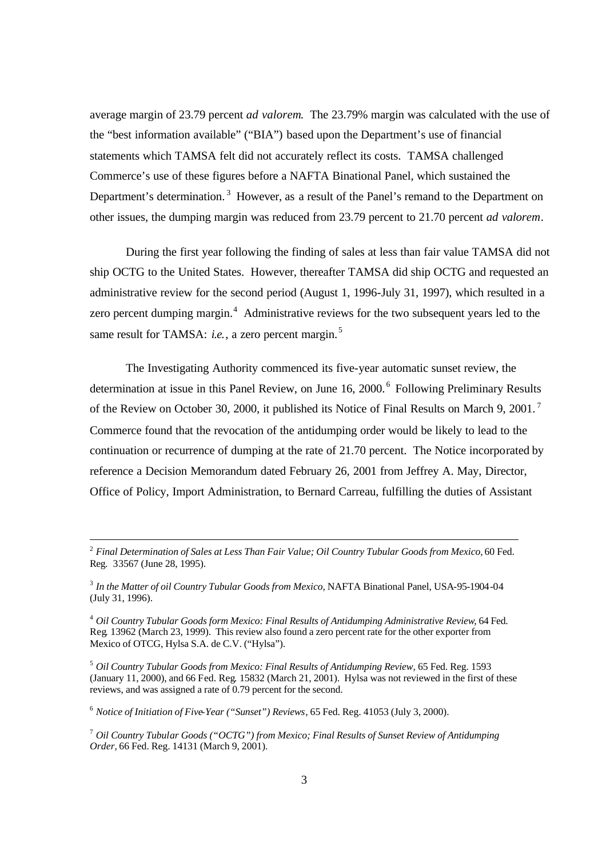average margin of 23.79 percent *ad valorem*. The 23.79% margin was calculated with the use of the "best information available" ("BIA") based upon the Department's use of financial statements which TAMSA felt did not accurately reflect its costs. TAMSA challenged Commerce's use of these figures before a NAFTA Binational Panel, which sustained the Department's determination.<sup>3</sup> However, as a result of the Panel's remand to the Department on other issues, the dumping margin was reduced from 23.79 percent to 21.70 percent *ad valorem*.

During the first year following the finding of sales at less than fair value TAMSA did not ship OCTG to the United States. However, thereafter TAMSA did ship OCTG and requested an administrative review for the second period (August 1, 1996-July 31, 1997), which resulted in a zero percent dumping margin. $4$  Administrative reviews for the two subsequent years led to the same result for TAMSA: *i.e.*, a zero percent margin.<sup>5</sup>

The Investigating Authority commenced its five-year automatic sunset review, the determination at issue in this Panel Review, on June 16, 2000.<sup>6</sup> Following Preliminary Results of the Review on October 30, 2000, it published its Notice of Final Results on March 9, 2001.<sup>7</sup> Commerce found that the revocation of the antidumping order would be likely to lead to the continuation or recurrence of dumping at the rate of 21.70 percent. The Notice incorporated by reference a Decision Memorandum dated February 26, 2001 from Jeffrey A. May, Director, Office of Policy, Import Administration, to Bernard Carreau, fulfilling the duties of Assistant

<sup>5</sup> *Oil Country Tubular Goods from Mexico: Final Results of Antidumping Review,* 65 Fed. Reg. 1593 (January 11, 2000), and 66 Fed. Reg*.* 15832 (March 21, 2001). Hylsa was not reviewed in the first of these reviews, and was assigned a rate of 0.79 percent for the second.

<sup>6</sup> *Notice of Initiation of Five-Year ("Sunset") Reviews*, 65 Fed. Reg. 41053 (July 3, 2000).

<sup>2</sup> *Final Determination of Sales at Less Than Fair Value; Oil Country Tubular Goods from Mexico,* 60 Fed. Reg. 33567 (June 28, 1995).

<sup>&</sup>lt;sup>3</sup> In the Matter of oil Country Tubular Goods from Mexico, NAFTA Binational Panel, USA-95-1904-04 (July 31, 1996).

<sup>4</sup> *Oil Country Tubular Goods form Mexico: Final Results of Antidumping Administrative Review*, 64 Fed. Reg*.* 13962 (March 23, 1999). This review also found a zero percent rate for the other exporter from Mexico of OTCG, Hylsa S.A. de C.V. ("Hylsa").

<sup>7</sup> *Oil Country Tubular Goods ("OCTG") from Mexico; Final Results of Sunset Review of Antidumping Order,* 66 Fed. Reg. 14131 (March 9, 2001).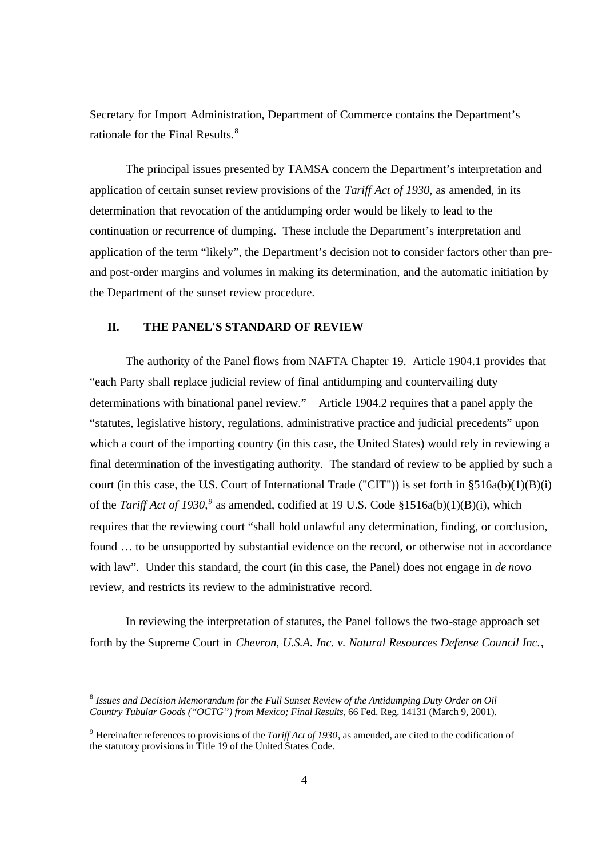Secretary for Import Administration, Department of Commerce contains the Department's rationale for the Final Results.<sup>8</sup>

The principal issues presented by TAMSA concern the Department's interpretation and application of certain sunset review provisions of the *Tariff Act of 1930*, as amended, in its determination that revocation of the antidumping order would be likely to lead to the continuation or recurrence of dumping. These include the Department's interpretation and application of the term "likely", the Department's decision not to consider factors other than preand post-order margins and volumes in making its determination, and the automatic initiation by the Department of the sunset review procedure.

#### **II. THE PANEL'S STANDARD OF REVIEW**

The authority of the Panel flows from NAFTA Chapter 19. Article 1904.1 provides that "each Party shall replace judicial review of final antidumping and countervailing duty determinations with binational panel review." Article 1904.2 requires that a panel apply the "statutes, legislative history, regulations, administrative practice and judicial precedents" upon which a court of the importing country (in this case, the United States) would rely in reviewing a final determination of the investigating authority. The standard of review to be applied by such a court (in this case, the U.S. Court of International Trade ("CIT")) is set forth in §516a(b)(1)(B)(i) of the *Tariff Act of 1930*,<sup>9</sup> as amended, codified at 19 U.S. Code §1516a(b)(1)(B)(i), which requires that the reviewing court "shall hold unlawful any determination, finding, or conclusion, found … to be unsupported by substantial evidence on the record, or otherwise not in accordance with law". Under this standard, the court (in this case, the Panel) does not engage in *de novo*  review, and restricts its review to the administrative record.

In reviewing the interpretation of statutes, the Panel follows the two-stage approach set forth by the Supreme Court in *Chevron, U.S.A. Inc. v. Natural Resources Defense Council Inc.*,

 $^8$  Issues and Decision Memorandum for the Full Sunset Review of the Antidumping Duty Order on Oil *Country Tubular Goods ("OCTG") from Mexico; Final Results*, 66 Fed. Reg. 14131 (March 9, 2001).

<sup>&</sup>lt;sup>9</sup> Hereinafter references to provisions of the *Tariff Act of 1930*, as amended, are cited to the codification of the statutory provisions in Title 19 of the United States Code.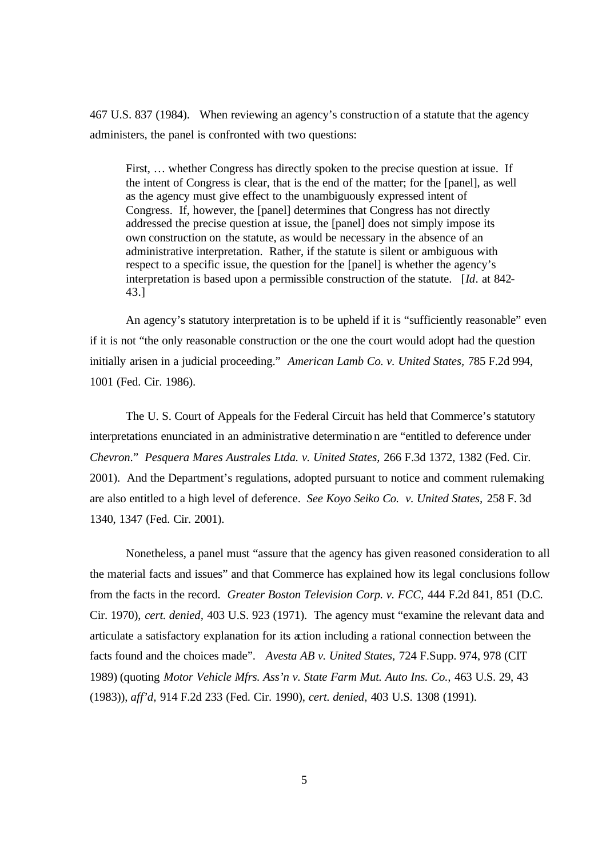467 U.S. 837 (1984). When reviewing an agency's construction of a statute that the agency administers, the panel is confronted with two questions:

First, … whether Congress has directly spoken to the precise question at issue. If the intent of Congress is clear, that is the end of the matter; for the [panel], as well as the agency must give effect to the unambiguously expressed intent of Congress. If, however, the [panel] determines that Congress has not directly addressed the precise question at issue, the [panel] does not simply impose its own construction on the statute, as would be necessary in the absence of an administrative interpretation. Rather, if the statute is silent or ambiguous with respect to a specific issue, the question for the [panel] is whether the agency's interpretation is based upon a permissible construction of the statute. [*Id*. at 842- 43.]

An agency's statutory interpretation is to be upheld if it is "sufficiently reasonable" even if it is not "the only reasonable construction or the one the court would adopt had the question initially arisen in a judicial proceeding." *American Lamb Co. v. United States,* 785 F.2d 994, 1001 (Fed. Cir. 1986).

The U. S. Court of Appeals for the Federal Circuit has held that Commerce's statutory interpretations enunciated in an administrative determinatio n are "entitled to deference under *Chevron*." *Pesquera Mares Australes Ltda. v. United States,* 266 F.3d 1372, 1382 (Fed. Cir. 2001). And the Department's regulations, adopted pursuant to notice and comment rulemaking are also entitled to a high level of deference. *See Koyo Seiko Co. v. United States,* 258 F. 3d 1340, 1347 (Fed. Cir. 2001).

Nonetheless, a panel must "assure that the agency has given reasoned consideration to all the material facts and issues" and that Commerce has explained how its legal conclusions follow from the facts in the record. *Greater Boston Television Corp. v. FCC,* 444 F.2d 841, 851 (D.C. Cir. 1970), *cert. denied,* 403 U.S. 923 (1971). The agency must "examine the relevant data and articulate a satisfactory explanation for its action including a rational connection between the facts found and the choices made". *Avesta AB v. United States,* 724 F.Supp. 974, 978 (CIT 1989) (quoting *Motor Vehicle Mfrs. Ass'n v. State Farm Mut. Auto Ins. Co.,* 463 U.S. 29, 43 (1983)), *aff'd,* 914 F.2d 233 (Fed. Cir. 1990), *cert. denied,* 403 U.S. 1308 (1991).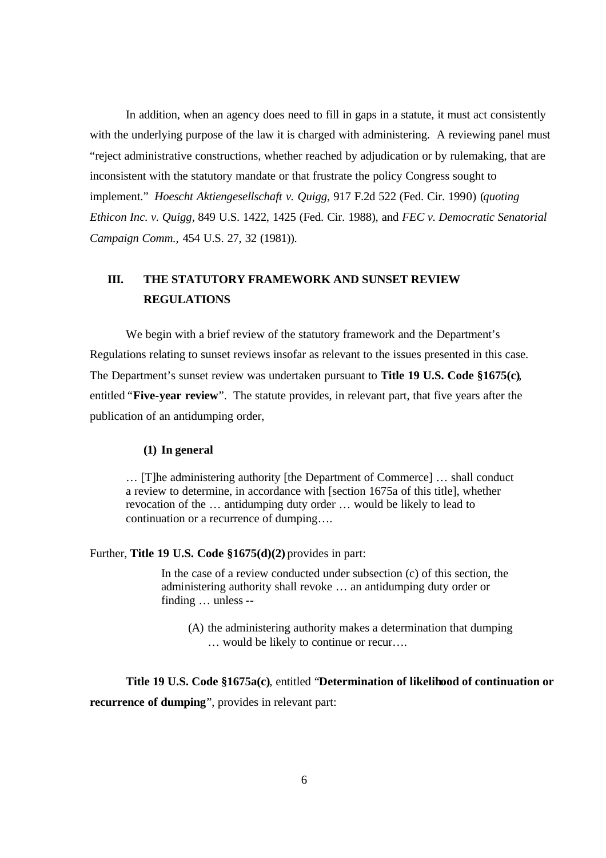In addition, when an agency does need to fill in gaps in a statute, it must act consistently with the underlying purpose of the law it is charged with administering. A reviewing panel must "reject administrative constructions, whether reached by adjudication or by rulemaking, that are inconsistent with the statutory mandate or that frustrate the policy Congress sought to implement." *Hoescht Aktiengesellschaft v. Quigg,* 917 F.2d 522 (Fed. Cir. 1990) (*quoting Ethicon Inc. v. Quigg,* 849 U.S. 1422, 1425 (Fed. Cir. 1988), and *FEC v. Democratic Senatorial Campaign Comm.,* 454 U.S. 27, 32 (1981)).

# **III. THE STATUTORY FRAMEWORK AND SUNSET REVIEW REGULATIONS**

We begin with a brief review of the statutory framework and the Department's Regulations relating to sunset reviews insofar as relevant to the issues presented in this case. The Department's sunset review was undertaken pursuant to **Title 19 U.S. Code §1675(c)**, entitled "**Five-year review**". The statute provides, in relevant part, that five years after the publication of an antidumping order,

#### **(1) In general**

… [T]he administering authority [the Department of Commerce] … shall conduct a review to determine, in accordance with [section 1675a of this title], whether revocation of the … antidumping duty order … would be likely to lead to continuation or a recurrence of dumping….

## Further, **Title 19 U.S. Code §1675(d)(2)** provides in part:

In the case of a review conducted under subsection (c) of this section, the administering authority shall revoke … an antidumping duty order or finding … unless --

(A) the administering authority makes a determination that dumping … would be likely to continue or recur….

**Title 19 U.S. Code §1675a(c)**, entitled "**Determination of likelihood of continuation or recurrence of dumping**", provides in relevant part: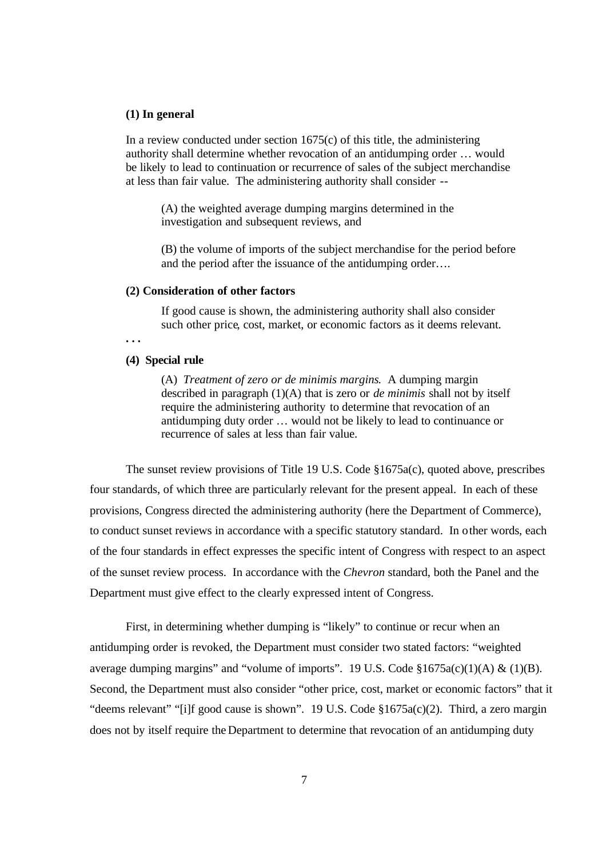#### **(1) In general**

In a review conducted under section  $1675(c)$  of this title, the administering authority shall determine whether revocation of an antidumping order … would be likely to lead to continuation or recurrence of sales of the subject merchandise at less than fair value. The administering authority shall consider --

(A) the weighted average dumping margins determined in the investigation and subsequent reviews, and

(B) the volume of imports of the subject merchandise for the period before and the period after the issuance of the antidumping order….

#### **(2) Consideration of other factors**

If good cause is shown, the administering authority shall also consider such other price, cost, market, or economic factors as it deems relevant.

**. . .**

#### **(4) Special rule**

(A) *Treatment of zero or de minimis margins*. A dumping margin described in paragraph (1)(A) that is zero or *de minimis* shall not by itself require the administering authority to determine that revocation of an antidumping duty order … would not be likely to lead to continuance or recurrence of sales at less than fair value.

The sunset review provisions of Title 19 U.S. Code §1675a(c), quoted above, prescribes four standards, of which three are particularly relevant for the present appeal. In each of these provisions, Congress directed the administering authority (here the Department of Commerce), to conduct sunset reviews in accordance with a specific statutory standard. In other words, each of the four standards in effect expresses the specific intent of Congress with respect to an aspect of the sunset review process. In accordance with the *Chevron* standard, both the Panel and the Department must give effect to the clearly expressed intent of Congress.

First, in determining whether dumping is "likely" to continue or recur when an antidumping order is revoked, the Department must consider two stated factors: "weighted average dumping margins" and "volume of imports". 19 U.S. Code  $$1675a(c)(1)(A) & (1)(B)$ . Second, the Department must also consider "other price, cost, market or economic factors" that it "deems relevant" "[i]f good cause is shown". 19 U.S. Code §1675a(c)(2). Third, a zero margin does not by itself require the Department to determine that revocation of an antidumping duty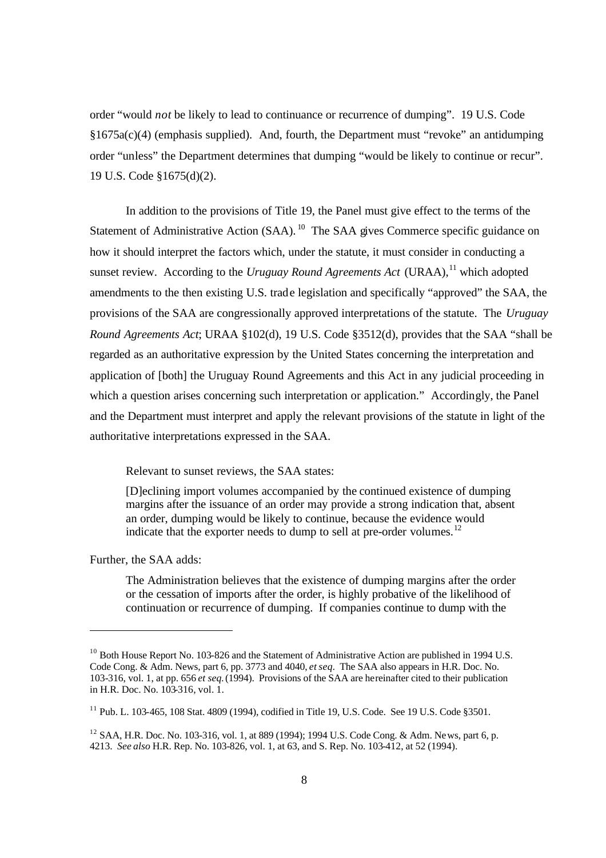order "would *not* be likely to lead to continuance or recurrence of dumping". 19 U.S. Code §1675a(c)(4) (emphasis supplied). And, fourth, the Department must "revoke" an antidumping order "unless" the Department determines that dumping "would be likely to continue or recur". 19 U.S. Code §1675(d)(2).

In addition to the provisions of Title 19, the Panel must give effect to the terms of the Statement of Administrative Action (SAA).<sup>10</sup> The SAA gives Commerce specific guidance on how it should interpret the factors which, under the statute, it must consider in conducting a sunset review. According to the *Uruguay Round Agreements Act* (URAA),<sup>11</sup> which adopted amendments to the then existing U.S. trade legislation and specifically "approved" the SAA, the provisions of the SAA are congressionally approved interpretations of the statute. The *Uruguay Round Agreements Act*; URAA §102(d), 19 U.S. Code §3512(d), provides that the SAA "shall be regarded as an authoritative expression by the United States concerning the interpretation and application of [both] the Uruguay Round Agreements and this Act in any judicial proceeding in which a question arises concerning such interpretation or application." Accordingly, the Panel and the Department must interpret and apply the relevant provisions of the statute in light of the authoritative interpretations expressed in the SAA.

Relevant to sunset reviews, the SAA states:

[D]eclining import volumes accompanied by the continued existence of dumping margins after the issuance of an order may provide a strong indication that, absent an order, dumping would be likely to continue, because the evidence would indicate that the exporter needs to dump to sell at pre-order volumes.<sup>12</sup>

Further, the SAA adds:

The Administration believes that the existence of dumping margins after the order or the cessation of imports after the order, is highly probative of the likelihood of continuation or recurrence of dumping. If companies continue to dump with the

 $10$  Both House Report No. 103-826 and the Statement of Administrative Action are published in 1994 U.S. Code Cong. & Adm. News, part 6, pp. 3773 and 4040, *et seq.* The SAA also appears in H.R. Doc. No. 103-316, vol. 1, at pp. 656 *et seq.* (1994). Provisions of the SAA are hereinafter cited to their publication in H.R. Doc. No. 103-316, vol. 1.

 $11$  Pub. L. 103-465, 108 Stat. 4809 (1994), codified in Title 19, U.S. Code. See 19 U.S. Code §3501.

<sup>&</sup>lt;sup>12</sup> SAA, H.R. Doc. No. 103-316, vol. 1, at 889 (1994); 1994 U.S. Code Cong. & Adm. News, part 6, p. 4213. *See also* H.R. Rep. No. 103-826, vol. 1, at 63, and S. Rep. No. 103-412, at 52 (1994).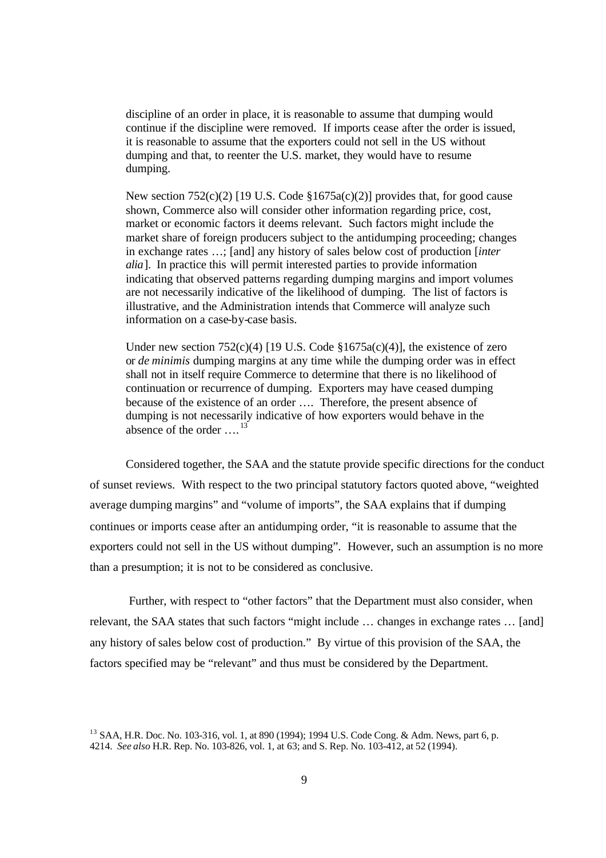discipline of an order in place, it is reasonable to assume that dumping would continue if the discipline were removed. If imports cease after the order is issued, it is reasonable to assume that the exporters could not sell in the US without dumping and that, to reenter the U.S. market, they would have to resume dumping.

New section  $752(c)(2)$  [19 U.S. Code  $$1675a(c)(2)$ ] provides that, for good cause shown, Commerce also will consider other information regarding price, cost, market or economic factors it deems relevant. Such factors might include the market share of foreign producers subject to the antidumping proceeding; changes in exchange rates …; [and] any history of sales below cost of production [*inter alia*]. In practice this will permit interested parties to provide information indicating that observed patterns regarding dumping margins and import volumes are not necessarily indicative of the likelihood of dumping. The list of factors is illustrative, and the Administration intends that Commerce will analyze such information on a case-by-case basis.

Under new section  $752(c)(4)$  [19 U.S. Code §1675a(c)(4)], the existence of zero or *de minimis* dumping margins at any time while the dumping order was in effect shall not in itself require Commerce to determine that there is no likelihood of continuation or recurrence of dumping. Exporters may have ceased dumping because of the existence of an order …. Therefore, the present absence of dumping is not necessarily indicative of how exporters would behave in the absence of the order  $\ldots$ <sup>13</sup>

Considered together, the SAA and the statute provide specific directions for the conduct of sunset reviews. With respect to the two principal statutory factors quoted above, "weighted average dumping margins" and "volume of imports", the SAA explains that if dumping continues or imports cease after an antidumping order, "it is reasonable to assume that the exporters could not sell in the US without dumping". However, such an assumption is no more than a presumption; it is not to be considered as conclusive.

 Further, with respect to "other factors" that the Department must also consider, when relevant, the SAA states that such factors "might include … changes in exchange rates … [and] any history of sales below cost of production." By virtue of this provision of the SAA, the factors specified may be "relevant" and thus must be considered by the Department.

<sup>&</sup>lt;sup>13</sup> SAA, H.R. Doc. No. 103-316, vol. 1, at 890 (1994); 1994 U.S. Code Cong. & Adm. News, part 6, p. 4214. *See also* H.R. Rep. No. 103-826, vol. 1, at 63; and S. Rep. No. 103-412, at 52 (1994).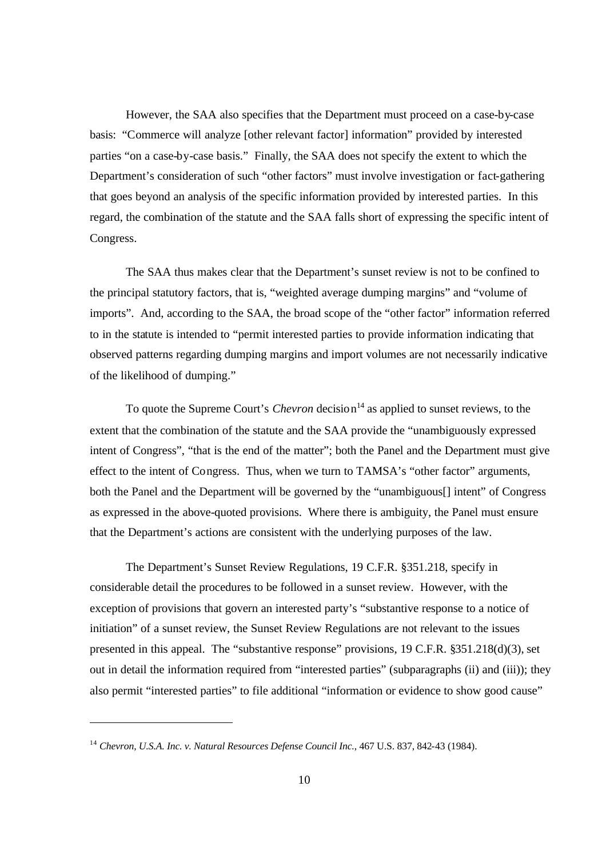However, the SAA also specifies that the Department must proceed on a case-by-case basis: "Commerce will analyze [other relevant factor] information" provided by interested parties "on a case-by-case basis." Finally, the SAA does not specify the extent to which the Department's consideration of such "other factors" must involve investigation or fact-gathering that goes beyond an analysis of the specific information provided by interested parties. In this regard, the combination of the statute and the SAA falls short of expressing the specific intent of Congress.

The SAA thus makes clear that the Department's sunset review is not to be confined to the principal statutory factors, that is, "weighted average dumping margins" and "volume of imports". And, according to the SAA, the broad scope of the "other factor" information referred to in the statute is intended to "permit interested parties to provide information indicating that observed patterns regarding dumping margins and import volumes are not necessarily indicative of the likelihood of dumping."

To quote the Supreme Court's *Chevron* decision <sup>14</sup> as applied to sunset reviews, to the extent that the combination of the statute and the SAA provide the "unambiguously expressed intent of Congress", "that is the end of the matter"; both the Panel and the Department must give effect to the intent of Congress. Thus, when we turn to TAMSA's "other factor" arguments, both the Panel and the Department will be governed by the "unambiguous[] intent" of Congress as expressed in the above-quoted provisions. Where there is ambiguity, the Panel must ensure that the Department's actions are consistent with the underlying purposes of the law.

The Department's Sunset Review Regulations, 19 C.F.R. §351.218, specify in considerable detail the procedures to be followed in a sunset review. However, with the exception of provisions that govern an interested party's "substantive response to a notice of initiation" of a sunset review, the Sunset Review Regulations are not relevant to the issues presented in this appeal. The "substantive response" provisions, 19 C.F.R. §351.218(d)(3), set out in detail the information required from "interested parties" (subparagraphs (ii) and (iii)); they also permit "interested parties" to file additional "information or evidence to show good cause"

<sup>14</sup> *Chevron, U.S.A. Inc. v. Natural Resources Defense Council Inc.*, 467 U.S. 837, 842-43 (1984).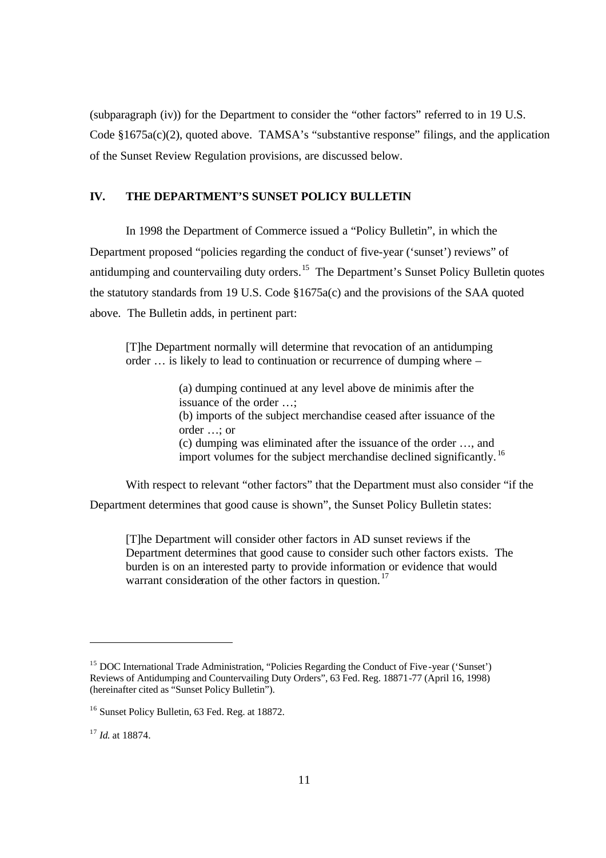(subparagraph (iv)) for the Department to consider the "other factors" referred to in 19 U.S. Code §1675a(c)(2), quoted above. TAMSA's "substantive response" filings, and the application of the Sunset Review Regulation provisions, are discussed below.

# **IV. THE DEPARTMENT'S SUNSET POLICY BULLETIN**

In 1998 the Department of Commerce issued a "Policy Bulletin", in which the Department proposed "policies regarding the conduct of five-year ('sunset') reviews" of antidumping and countervailing duty orders.<sup>15</sup> The Department's Sunset Policy Bulletin quotes the statutory standards from 19 U.S. Code §1675a(c) and the provisions of the SAA quoted above. The Bulletin adds, in pertinent part:

[T]he Department normally will determine that revocation of an antidumping order … is likely to lead to continuation or recurrence of dumping where –

> (a) dumping continued at any level above de minimis after the issuance of the order …; (b) imports of the subject merchandise ceased after issuance of the order …; or (c) dumping was eliminated after the issuance of the order …, and import volumes for the subject merchandise declined significantly. <sup>16</sup>

With respect to relevant "other factors" that the Department must also consider "if the Department determines that good cause is shown", the Sunset Policy Bulletin states:

[T]he Department will consider other factors in AD sunset reviews if the Department determines that good cause to consider such other factors exists. The burden is on an interested party to provide information or evidence that would warrant consideration of the other factors in question.<sup>17</sup>

<sup>&</sup>lt;sup>15</sup> DOC International Trade Administration, "Policies Regarding the Conduct of Five-year ('Sunset') Reviews of Antidumping and Countervailing Duty Orders", 63 Fed. Reg. 18871-77 (April 16, 1998) (hereinafter cited as "Sunset Policy Bulletin").

<sup>&</sup>lt;sup>16</sup> Sunset Policy Bulletin, 63 Fed. Reg. at 18872.

<sup>17</sup> *Id.* at 18874.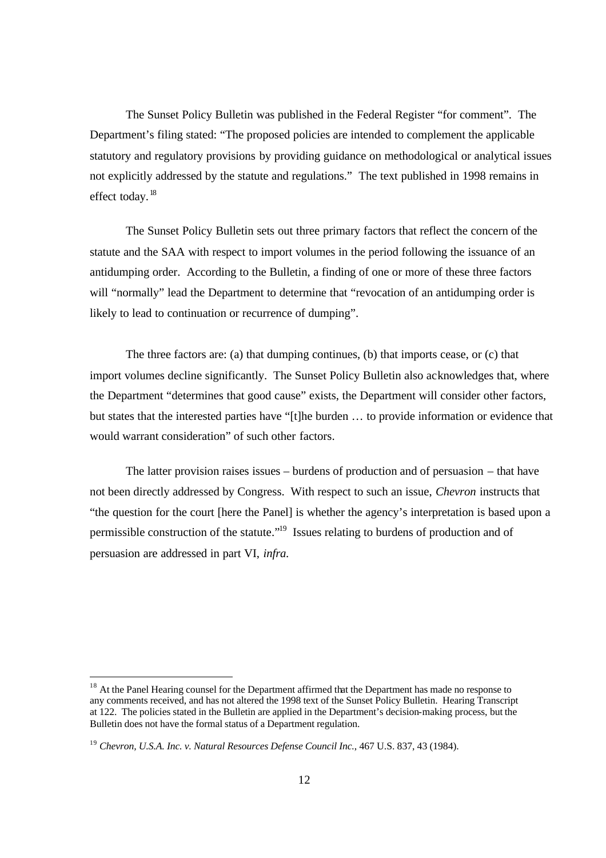The Sunset Policy Bulletin was published in the Federal Register "for comment". The Department's filing stated: "The proposed policies are intended to complement the applicable statutory and regulatory provisions by providing guidance on methodological or analytical issues not explicitly addressed by the statute and regulations." The text published in 1998 remains in effect today.<sup>18</sup>

The Sunset Policy Bulletin sets out three primary factors that reflect the concern of the statute and the SAA with respect to import volumes in the period following the issuance of an antidumping order. According to the Bulletin, a finding of one or more of these three factors will "normally" lead the Department to determine that "revocation of an antidumping order is likely to lead to continuation or recurrence of dumping".

The three factors are: (a) that dumping continues, (b) that imports cease, or (c) that import volumes decline significantly. The Sunset Policy Bulletin also acknowledges that, where the Department "determines that good cause" exists, the Department will consider other factors, but states that the interested parties have "[t]he burden … to provide information or evidence that would warrant consideration" of such other factors.

The latter provision raises issues – burdens of production and of persuasion – that have not been directly addressed by Congress. With respect to such an issue, *Chevron* instructs that "the question for the court [here the Panel] is whether the agency's interpretation is based upon a permissible construction of the statute."<sup>19</sup> Issues relating to burdens of production and of persuasion are addressed in part VI, *infra.*

<sup>&</sup>lt;sup>18</sup> At the Panel Hearing counsel for the Department affirmed that the Department has made no response to any comments received, and has not altered the 1998 text of the Sunset Policy Bulletin. Hearing Transcript at 122. The policies stated in the Bulletin are applied in the Department's decision-making process, but the Bulletin does not have the formal status of a Department regulation.

<sup>19</sup> *Chevron, U.S.A. Inc. v. Natural Resources Defense Council Inc.*, 467 U.S. 837, 43 (1984).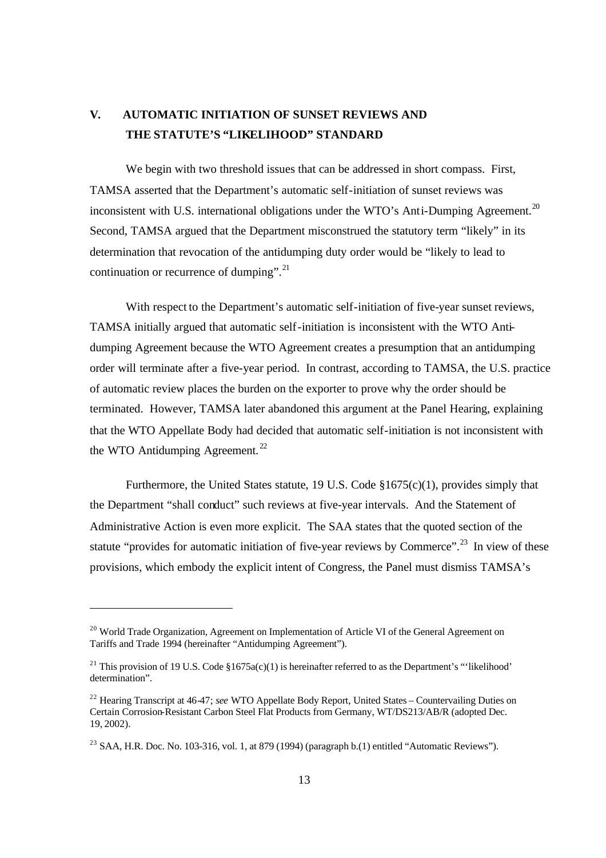# **V. AUTOMATIC INITIATION OF SUNSET REVIEWS AND THE STATUTE'S "LIKELIHOOD" STANDARD**

We begin with two threshold issues that can be addressed in short compass. First, TAMSA asserted that the Department's automatic self-initiation of sunset reviews was inconsistent with U.S. international obligations under the WTO's Anti-Dumping Agreement.<sup>20</sup> Second, TAMSA argued that the Department misconstrued the statutory term "likely" in its determination that revocation of the antidumping duty order would be "likely to lead to continuation or recurrence of dumping".<sup>21</sup>

With respect to the Department's automatic self-initiation of five-year sunset reviews, TAMSA initially argued that automatic self-initiation is inconsistent with the WTO Antidumping Agreement because the WTO Agreement creates a presumption that an antidumping order will terminate after a five-year period. In contrast, according to TAMSA, the U.S. practice of automatic review places the burden on the exporter to prove why the order should be terminated. However, TAMSA later abandoned this argument at the Panel Hearing, explaining that the WTO Appellate Body had decided that automatic self-initiation is not inconsistent with the WTO Antidumping Agreement.<sup>22</sup>

Furthermore, the United States statute, 19 U.S. Code §1675(c)(1), provides simply that the Department "shall conduct" such reviews at five-year intervals. And the Statement of Administrative Action is even more explicit. The SAA states that the quoted section of the statute "provides for automatic initiation of five-year reviews by Commerce".<sup>23</sup> In view of these provisions, which embody the explicit intent of Congress, the Panel must dismiss TAMSA's

<sup>&</sup>lt;sup>20</sup> World Trade Organization, Agreement on Implementation of Article VI of the General Agreement on Tariffs and Trade 1994 (hereinafter "Antidumping Agreement").

<sup>&</sup>lt;sup>21</sup> This provision of 19 U.S. Code §1675a(c)(1) is hereinafter referred to as the Department's "'likelihood' determination".

<sup>22</sup> Hearing Transcript at 46-47; *see* WTO Appellate Body Report, United States – Countervailing Duties on Certain Corrosion-Resistant Carbon Steel Flat Products from Germany, WT/DS213/AB/R (adopted Dec. 19, 2002).

<sup>&</sup>lt;sup>23</sup> SAA, H.R. Doc. No. 103-316, vol. 1, at 879 (1994) (paragraph b.(1) entitled "Automatic Reviews").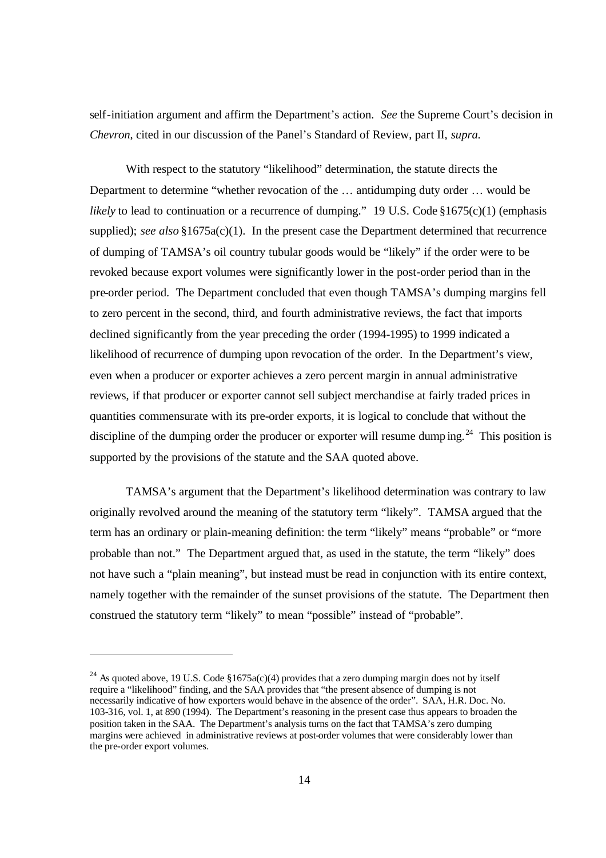self-initiation argument and affirm the Department's action. *See* the Supreme Court's decision in *Chevron*, cited in our discussion of the Panel's Standard of Review, part II, *supra.*

With respect to the statutory "likelihood" determination, the statute directs the Department to determine "whether revocation of the … antidumping duty order … would be *likely* to lead to continuation or a recurrence of dumping." 19 U.S. Code §1675(c)(1) (emphasis supplied); *see also* §1675a(c)(1). In the present case the Department determined that recurrence of dumping of TAMSA's oil country tubular goods would be "likely" if the order were to be revoked because export volumes were significantly lower in the post-order period than in the pre-order period. The Department concluded that even though TAMSA's dumping margins fell to zero percent in the second, third, and fourth administrative reviews, the fact that imports declined significantly from the year preceding the order (1994-1995) to 1999 indicated a likelihood of recurrence of dumping upon revocation of the order. In the Department's view, even when a producer or exporter achieves a zero percent margin in annual administrative reviews, if that producer or exporter cannot sell subject merchandise at fairly traded prices in quantities commensurate with its pre-order exports, it is logical to conclude that without the discipline of the dumping order the producer or exporter will resume dumping.<sup>24</sup> This position is supported by the provisions of the statute and the SAA quoted above.

TAMSA's argument that the Department's likelihood determination was contrary to law originally revolved around the meaning of the statutory term "likely". TAMSA argued that the term has an ordinary or plain-meaning definition: the term "likely" means "probable" or "more probable than not." The Department argued that, as used in the statute, the term "likely" does not have such a "plain meaning", but instead must be read in conjunction with its entire context, namely together with the remainder of the sunset provisions of the statute. The Department then construed the statutory term "likely" to mean "possible" instead of "probable".

<sup>&</sup>lt;sup>24</sup> As quoted above, 19 U.S. Code §1675a(c)(4) provides that a zero dumping margin does not by itself require a "likelihood" finding, and the SAA provides that "the present absence of dumping is not necessarily indicative of how exporters would behave in the absence of the order". SAA, H.R. Doc. No. 103-316, vol. 1, at 890 (1994). The Department's reasoning in the present case thus appears to broaden the position taken in the SAA. The Department's analysis turns on the fact that TAMSA's zero dumping margins were achieved in administrative reviews at post-order volumes that were considerably lower than the pre-order export volumes.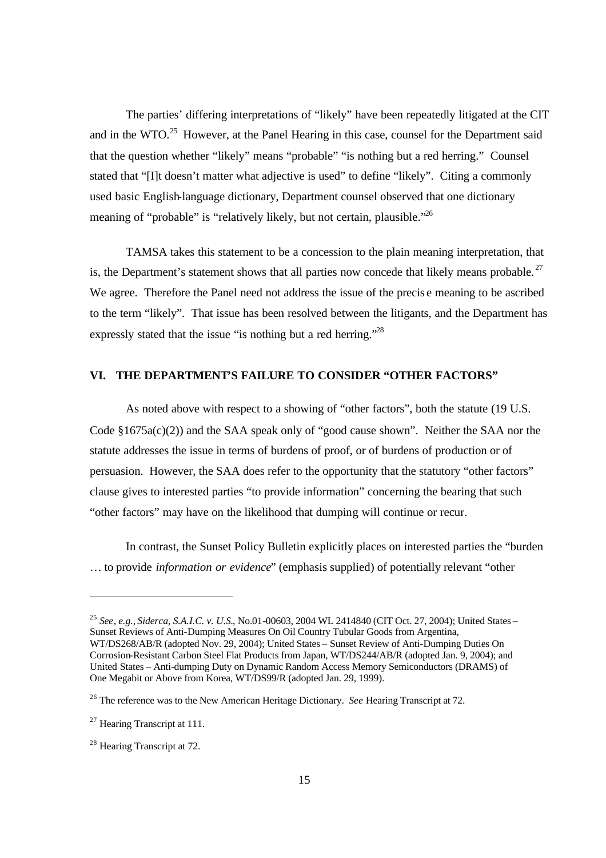The parties' differing interpretations of "likely" have been repeatedly litigated at the CIT and in the WTO.<sup>25</sup> However, at the Panel Hearing in this case, counsel for the Department said that the question whether "likely" means "probable" "is nothing but a red herring." Counsel stated that "[I]t doesn't matter what adjective is used" to define "likely". Citing a commonly used basic English-language dictionary, Department counsel observed that one dictionary meaning of "probable" is "relatively likely, but not certain, plausible."<sup>26</sup>

TAMSA takes this statement to be a concession to the plain meaning interpretation, that is, the Department's statement shows that all parties now concede that likely means probable.<sup>27</sup> We agree. Therefore the Panel need not address the issue of the precis e meaning to be ascribed to the term "likely". That issue has been resolved between the litigants, and the Department has expressly stated that the issue "is nothing but a red herring."<sup>28</sup>

# **VI. THE DEPARTMENT'S FAILURE TO CONSIDER "OTHER FACTORS"**

As noted above with respect to a showing of "other factors", both the statute (19 U.S. Code §1675a(c)(2)) and the SAA speak only of "good cause shown". Neither the SAA nor the statute addresses the issue in terms of burdens of proof, or of burdens of production or of persuasion. However, the SAA does refer to the opportunity that the statutory "other factors" clause gives to interested parties "to provide information" concerning the bearing that such "other factors" may have on the likelihood that dumping will continue or recur.

In contrast, the Sunset Policy Bulletin explicitly places on interested parties the "burden … to provide *information or evidence*" (emphasis supplied) of potentially relevant "other

<sup>25</sup> *See*, *e.g.*, *Siderca, S.A.I.C. v. U.S.*, No.01-00603, 2004 WL 2414840 (CIT Oct. 27, 2004); United States – Sunset Reviews of Anti-Dumping Measures On Oil Country Tubular Goods from Argentina, WT/DS268/AB/R (adopted Nov. 29, 2004); United States – Sunset Review of Anti-Dumping Duties On Corrosion-Resistant Carbon Steel Flat Products from Japan, WT/DS244/AB/R (adopted Jan. 9, 2004); and United States – Anti-dumping Duty on Dynamic Random Access Memory Semiconductors (DRAMS) of One Megabit or Above from Korea, WT/DS99/R (adopted Jan. 29, 1999).

<sup>26</sup> The reference was to the New American Heritage Dictionary. *See* Hearing Transcript at 72.

<sup>&</sup>lt;sup>27</sup> Hearing Transcript at 111.

<sup>28</sup> Hearing Transcript at 72.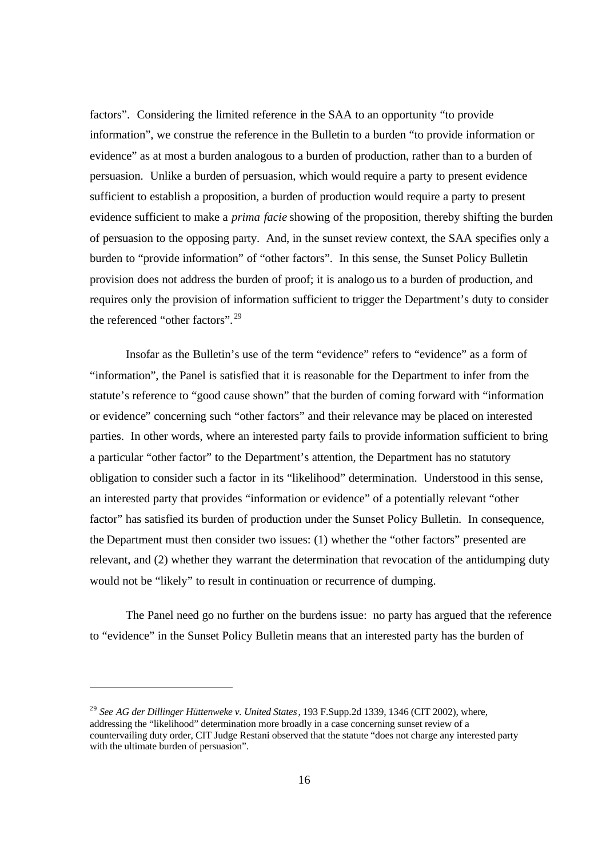factors". Considering the limited reference in the SAA to an opportunity "to provide information", we construe the reference in the Bulletin to a burden "to provide information or evidence" as at most a burden analogous to a burden of production, rather than to a burden of persuasion. Unlike a burden of persuasion, which would require a party to present evidence sufficient to establish a proposition, a burden of production would require a party to present evidence sufficient to make a *prima facie* showing of the proposition, thereby shifting the burden of persuasion to the opposing party. And, in the sunset review context, the SAA specifies only a burden to "provide information" of "other factors". In this sense, the Sunset Policy Bulletin provision does not address the burden of proof; it is analogo us to a burden of production, and requires only the provision of information sufficient to trigger the Department's duty to consider the referenced "other factors".<sup>29</sup>

Insofar as the Bulletin's use of the term "evidence" refers to "evidence" as a form of "information", the Panel is satisfied that it is reasonable for the Department to infer from the statute's reference to "good cause shown" that the burden of coming forward with "information or evidence" concerning such "other factors" and their relevance may be placed on interested parties. In other words, where an interested party fails to provide information sufficient to bring a particular "other factor" to the Department's attention, the Department has no statutory obligation to consider such a factor in its "likelihood" determination. Understood in this sense, an interested party that provides "information or evidence" of a potentially relevant "other factor" has satisfied its burden of production under the Sunset Policy Bulletin. In consequence, the Department must then consider two issues: (1) whether the "other factors" presented are relevant, and (2) whether they warrant the determination that revocation of the antidumping duty would not be "likely" to result in continuation or recurrence of dumping.

The Panel need go no further on the burdens issue: no party has argued that the reference to "evidence" in the Sunset Policy Bulletin means that an interested party has the burden of

<sup>29</sup> *See AG der Dillinger Hüttenweke v. United States*, 193 F.Supp.2d 1339, 1346 (CIT 2002), where, addressing the "likelihood" determination more broadly in a case concerning sunset review of a countervailing duty order, CIT Judge Restani observed that the statute "does not charge any interested party with the ultimate burden of persuasion".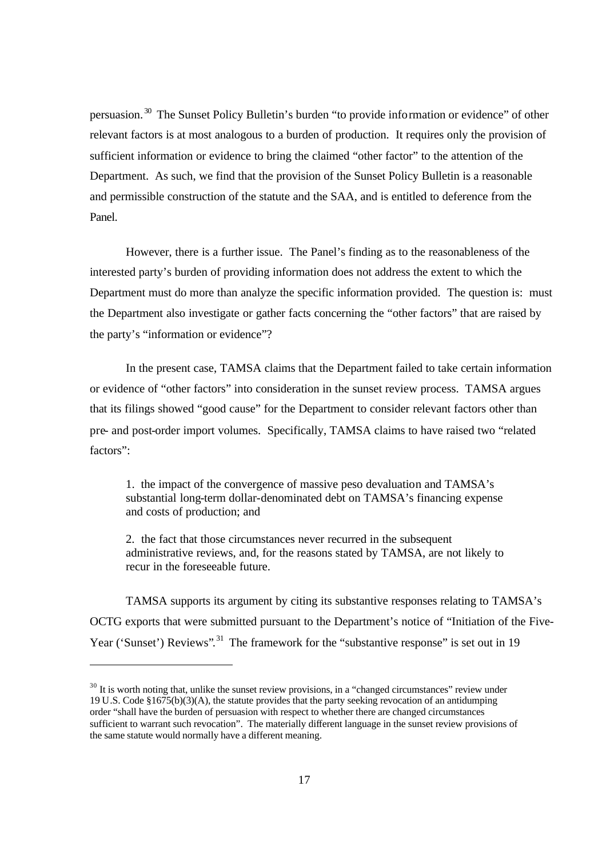persuasion. <sup>30</sup> The Sunset Policy Bulletin's burden "to provide information or evidence" of other relevant factors is at most analogous to a burden of production. It requires only the provision of sufficient information or evidence to bring the claimed "other factor" to the attention of the Department. As such, we find that the provision of the Sunset Policy Bulletin is a reasonable and permissible construction of the statute and the SAA, and is entitled to deference from the Panel.

However, there is a further issue. The Panel's finding as to the reasonableness of the interested party's burden of providing information does not address the extent to which the Department must do more than analyze the specific information provided. The question is: must the Department also investigate or gather facts concerning the "other factors" that are raised by the party's "information or evidence"?

In the present case, TAMSA claims that the Department failed to take certain information or evidence of "other factors" into consideration in the sunset review process. TAMSA argues that its filings showed "good cause" for the Department to consider relevant factors other than pre- and post-order import volumes. Specifically, TAMSA claims to have raised two "related factors":

1. the impact of the convergence of massive peso devaluation and TAMSA's substantial long-term dollar-denominated debt on TAMSA's financing expense and costs of production; and

2. the fact that those circumstances never recurred in the subsequent administrative reviews, and, for the reasons stated by TAMSA, are not likely to recur in the foreseeable future.

TAMSA supports its argument by citing its substantive responses relating to TAMSA's OCTG exports that were submitted pursuant to the Department's notice of "Initiation of the Five-Year ('Sunset') Reviews".<sup>31</sup> The framework for the "substantive response" is set out in 19

 $30$  It is worth noting that, unlike the sunset review provisions, in a "changed circumstances" review under 19 U.S. Code §1675(b)(3)(A), the statute provides that the party seeking revocation of an antidumping order "shall have the burden of persuasion with respect to whether there are changed circumstances sufficient to warrant such revocation". The materially different language in the sunset review provisions of the same statute would normally have a different meaning.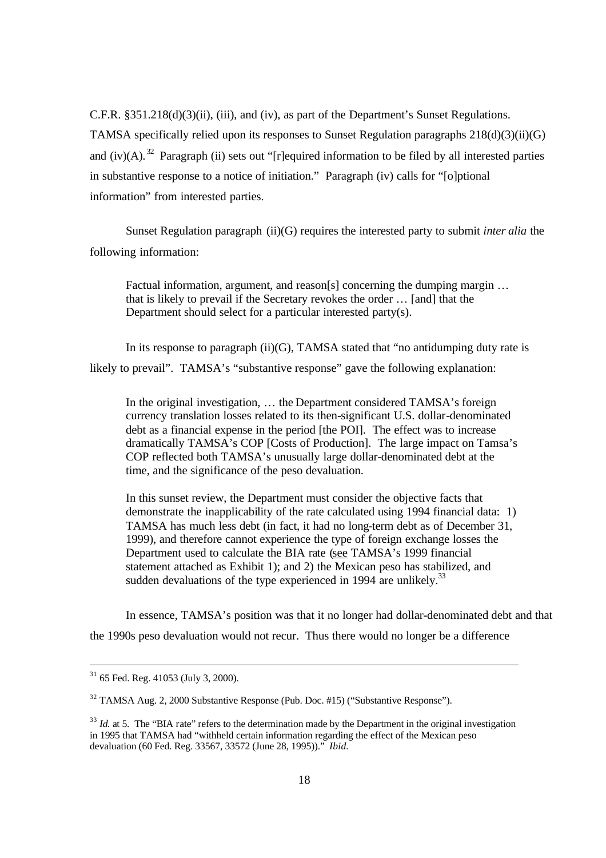C.F.R. §351.218(d)(3)(ii), (iii), and (iv), as part of the Department's Sunset Regulations. TAMSA specifically relied upon its responses to Sunset Regulation paragraphs  $218(d)(3)(ii)(G)$ and (iv)(A).<sup>32</sup> Paragraph (ii) sets out "[r]equired information to be filed by all interested parties in substantive response to a notice of initiation." Paragraph (iv) calls for "[o]ptional information" from interested parties.

Sunset Regulation paragraph (ii)(G) requires the interested party to submit *inter alia* the following information:

Factual information, argument, and reason[s] concerning the dumping margin  $\ldots$ that is likely to prevail if the Secretary revokes the order … [and] that the Department should select for a particular interested party(s).

In its response to paragraph  $(ii)(G)$ , TAMSA stated that "no antidumping duty rate is likely to prevail". TAMSA's "substantive response" gave the following explanation:

In the original investigation, … the Department considered TAMSA's foreign currency translation losses related to its then-significant U.S. dollar-denominated debt as a financial expense in the period [the POI]. The effect was to increase dramatically TAMSA's COP [Costs of Production]. The large impact on Tamsa's COP reflected both TAMSA's unusually large dollar-denominated debt at the time, and the significance of the peso devaluation.

In this sunset review, the Department must consider the objective facts that demonstrate the inapplicability of the rate calculated using 1994 financial data: 1) TAMSA has much less debt (in fact, it had no long-term debt as of December 31, 1999), and therefore cannot experience the type of foreign exchange losses the Department used to calculate the BIA rate (see TAMSA's 1999 financial statement attached as Exhibit 1); and 2) the Mexican peso has stabilized, and sudden devaluations of the type experienced in 1994 are unlikely.<sup>33</sup>

In essence, TAMSA's position was that it no longer had dollar-denominated debt and that the 1990s peso devaluation would not recur. Thus there would no longer be a difference

 $31$  65 Fed. Reg. 41053 (July 3, 2000).

<sup>32</sup> TAMSA Aug. 2, 2000 Substantive Response (Pub. Doc. #15) ("Substantive Response").

<sup>&</sup>lt;sup>33</sup> *Id.* at 5. The "BIA rate" refers to the determination made by the Department in the original investigation in 1995 that TAMSA had "withheld certain information regarding the effect of the Mexican peso devaluation (60 Fed. Reg. 33567, 33572 (June 28, 1995))." *Ibid.*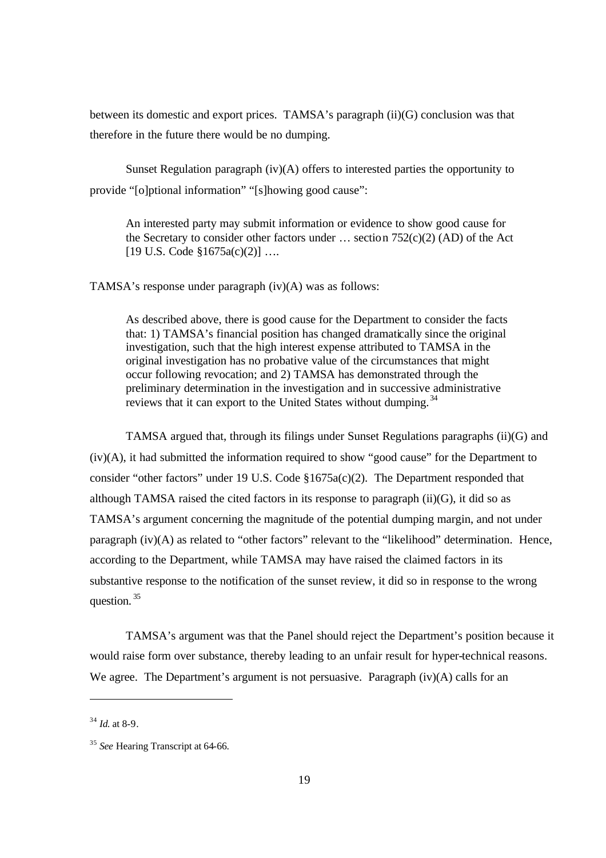between its domestic and export prices. TAMSA's paragraph (ii)(G) conclusion was that therefore in the future there would be no dumping.

Sunset Regulation paragraph (iv)(A) offers to interested parties the opportunity to provide "[o]ptional information" "[s]howing good cause":

An interested party may submit information or evidence to show good cause for the Secretary to consider other factors under  $\ldots$  section 752(c)(2) (AD) of the Act  $[19 \text{ U.S. Code } $1675a(c)(2)] \dots$ 

TAMSA's response under paragraph (iv)(A) was as follows:

As described above, there is good cause for the Department to consider the facts that: 1) TAMSA's financial position has changed dramatically since the original investigation, such that the high interest expense attributed to TAMSA in the original investigation has no probative value of the circumstances that might occur following revocation; and 2) TAMSA has demonstrated through the preliminary determination in the investigation and in successive administrative reviews that it can export to the United States without dumping. <sup>34</sup>

TAMSA argued that, through its filings under Sunset Regulations paragraphs (ii)(G) and  $(iv)(A)$ , it had submitted the information required to show "good cause" for the Department to consider "other factors" under 19 U.S. Code §1675a(c)(2). The Department responded that although TAMSA raised the cited factors in its response to paragraph  $(ii)(G)$ , it did so as TAMSA's argument concerning the magnitude of the potential dumping margin, and not under paragraph (iv)(A) as related to "other factors" relevant to the "likelihood" determination. Hence, according to the Department, while TAMSA may have raised the claimed factors in its substantive response to the notification of the sunset review, it did so in response to the wrong question.<sup>35</sup>

TAMSA's argument was that the Panel should reject the Department's position because it would raise form over substance, thereby leading to an unfair result for hyper-technical reasons. We agree. The Department's argument is not persuasive. Paragraph  $(iv)(A)$  calls for an

l

<sup>34</sup> *Id.* at 8-9.

<sup>35</sup> *See* Hearing Transcript at 64-66.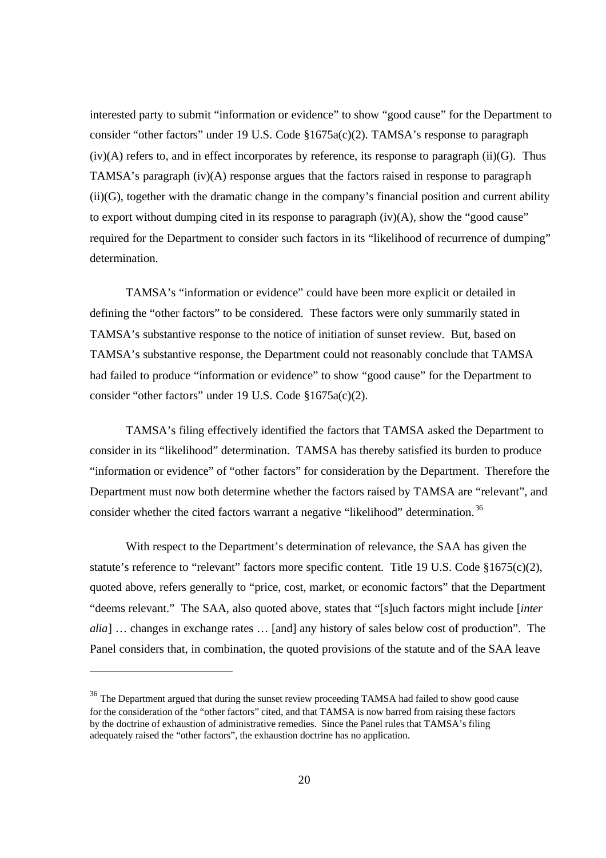interested party to submit "information or evidence" to show "good cause" for the Department to consider "other factors" under 19 U.S. Code §1675a(c)(2). TAMSA's response to paragraph  $(iv)(A)$  refers to, and in effect incorporates by reference, its response to paragraph  $(ii)(G)$ . Thus TAMSA's paragraph (iv)(A) response argues that the factors raised in response to paragraph (ii)(G), together with the dramatic change in the company's financial position and current ability to export without dumping cited in its response to paragraph (iv)(A), show the "good cause" required for the Department to consider such factors in its "likelihood of recurrence of dumping" determination.

TAMSA's "information or evidence" could have been more explicit or detailed in defining the "other factors" to be considered. These factors were only summarily stated in TAMSA's substantive response to the notice of initiation of sunset review. But, based on TAMSA's substantive response, the Department could not reasonably conclude that TAMSA had failed to produce "information or evidence" to show "good cause" for the Department to consider "other factors" under 19 U.S. Code §1675a(c)(2).

TAMSA's filing effectively identified the factors that TAMSA asked the Department to consider in its "likelihood" determination. TAMSA has thereby satisfied its burden to produce "information or evidence" of "other factors" for consideration by the Department. Therefore the Department must now both determine whether the factors raised by TAMSA are "relevant", and consider whether the cited factors warrant a negative "likelihood" determination. <sup>36</sup>

With respect to the Department's determination of relevance, the SAA has given the statute's reference to "relevant" factors more specific content. Title 19 U.S. Code §1675(c)(2), quoted above, refers generally to "price, cost, market, or economic factors" that the Department "deems relevant." The SAA, also quoted above, states that "[s]uch factors might include [*inter alia*] … changes in exchange rates … [and] any history of sales below cost of production". The Panel considers that, in combination, the quoted provisions of the statute and of the SAA leave

l

<sup>&</sup>lt;sup>36</sup> The Department argued that during the sunset review proceeding TAMSA had failed to show good cause for the consideration of the "other factors" cited, and that TAMSA is now barred from raising these factors by the doctrine of exhaustion of administrative remedies. Since the Panel rules that TAMSA's filing adequately raised the "other factors", the exhaustion doctrine has no application.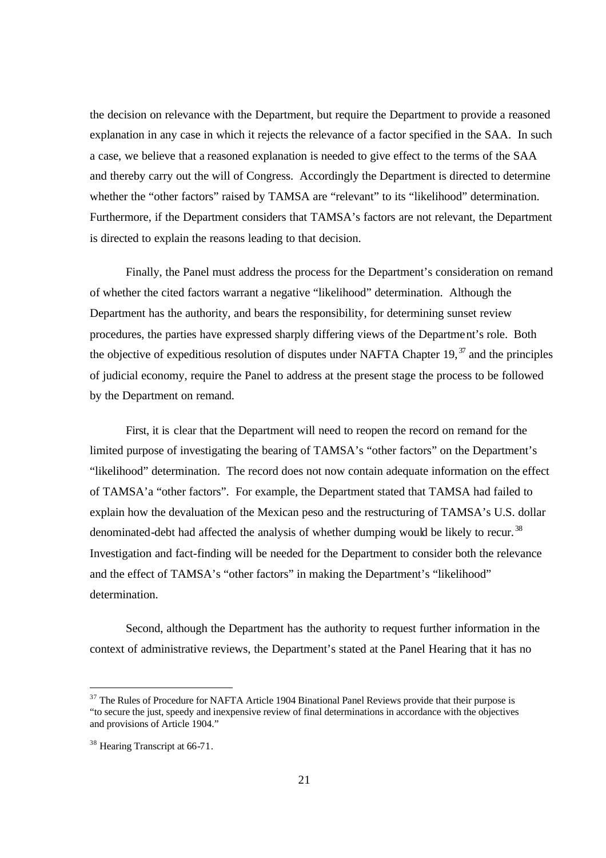the decision on relevance with the Department, but require the Department to provide a reasoned explanation in any case in which it rejects the relevance of a factor specified in the SAA. In such a case, we believe that a reasoned explanation is needed to give effect to the terms of the SAA and thereby carry out the will of Congress. Accordingly the Department is directed to determine whether the "other factors" raised by TAMSA are "relevant" to its "likelihood" determination. Furthermore, if the Department considers that TAMSA's factors are not relevant, the Department is directed to explain the reasons leading to that decision.

Finally, the Panel must address the process for the Department's consideration on remand of whether the cited factors warrant a negative "likelihood" determination. Although the Department has the authority, and bears the responsibility, for determining sunset review procedures, the parties have expressed sharply differing views of the Department's role. Both the objective of expeditious resolution of disputes under NAFTA Chapter 19, $^{37}$  and the principles of judicial economy, require the Panel to address at the present stage the process to be followed by the Department on remand.

First, it is clear that the Department will need to reopen the record on remand for the limited purpose of investigating the bearing of TAMSA's "other factors" on the Department's "likelihood" determination. The record does not now contain adequate information on the effect of TAMSA'a "other factors". For example, the Department stated that TAMSA had failed to explain how the devaluation of the Mexican peso and the restructuring of TAMSA's U.S. dollar denominated-debt had affected the analysis of whether dumping would be likely to recur.<sup>38</sup> Investigation and fact-finding will be needed for the Department to consider both the relevance and the effect of TAMSA's "other factors" in making the Department's "likelihood" determination.

Second, although the Department has the authority to request further information in the context of administrative reviews, the Department's stated at the Panel Hearing that it has no

<sup>&</sup>lt;sup>37</sup> The Rules of Procedure for NAFTA Article 1904 Binational Panel Reviews provide that their purpose is "to secure the just, speedy and inexpensive review of final determinations in accordance with the objectives and provisions of Article 1904."

<sup>38</sup> Hearing Transcript at 66-71.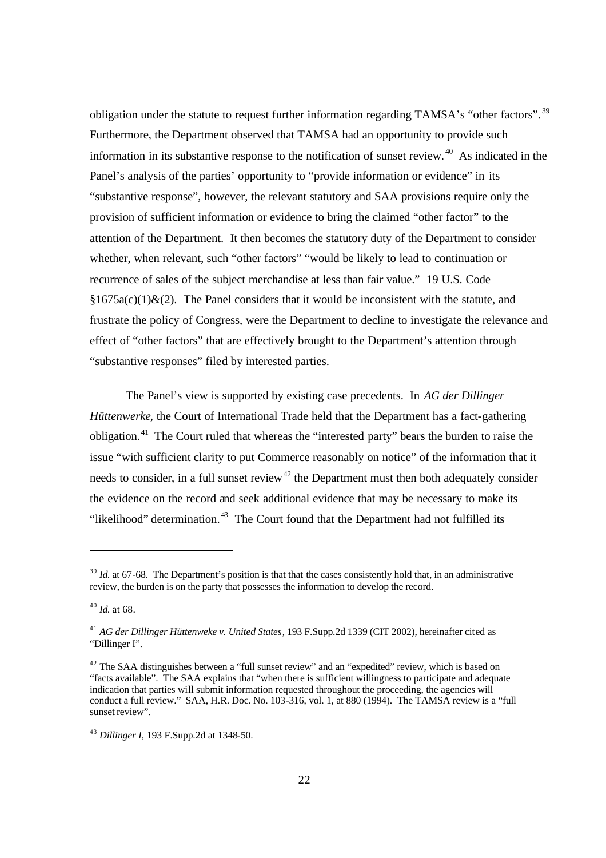obligation under the statute to request further information regarding TAMSA's "other factors".<sup>39</sup> Furthermore, the Department observed that TAMSA had an opportunity to provide such information in its substantive response to the notification of sunset review.  $40$  As indicated in the Panel's analysis of the parties' opportunity to "provide information or evidence" in its "substantive response", however, the relevant statutory and SAA provisions require only the provision of sufficient information or evidence to bring the claimed "other factor" to the attention of the Department. It then becomes the statutory duty of the Department to consider whether, when relevant, such "other factors" "would be likely to lead to continuation or recurrence of sales of the subject merchandise at less than fair value." 19 U.S. Code  $§1675a(c)(1)&(2)$ . The Panel considers that it would be inconsistent with the statute, and frustrate the policy of Congress, were the Department to decline to investigate the relevance and effect of "other factors" that are effectively brought to the Department's attention through "substantive responses" filed by interested parties.

The Panel's view is supported by existing case precedents. In *AG der Dillinger Hüttenwerke*, the Court of International Trade held that the Department has a fact-gathering obligation.<sup>41</sup> The Court ruled that whereas the "interested party" bears the burden to raise the issue "with sufficient clarity to put Commerce reasonably on notice" of the information that it needs to consider, in a full sunset review<sup>42</sup> the Department must then both adequately consider the evidence on the record and seek additional evidence that may be necessary to make its "likelihood" determination. $43$  The Court found that the Department had not fulfilled its

<sup>&</sup>lt;sup>39</sup> *Id.* at 67-68. The Department's position is that that the cases consistently hold that, in an administrative review, the burden is on the party that possesses the information to develop the record.

<sup>40</sup> *Id.* at 68.

<sup>41</sup> *AG der Dillinger Hüttenweke v. United States*, 193 F.Supp.2d 1339 (CIT 2002), hereinafter cited as "Dillinger I".

<sup>&</sup>lt;sup>42</sup> The SAA distinguishes between a "full sunset review" and an "expedited" review, which is based on "facts available". The SAA explains that "when there is sufficient willingness to participate and adequate indication that parties will submit information requested throughout the proceeding, the agencies will conduct a full review." SAA, H.R. Doc. No. 103-316, vol. 1, at 880 (1994). The TAMSA review is a "full sunset review".

<sup>43</sup> *Dillinger I*, 193 F.Supp.2d at 1348*-*50.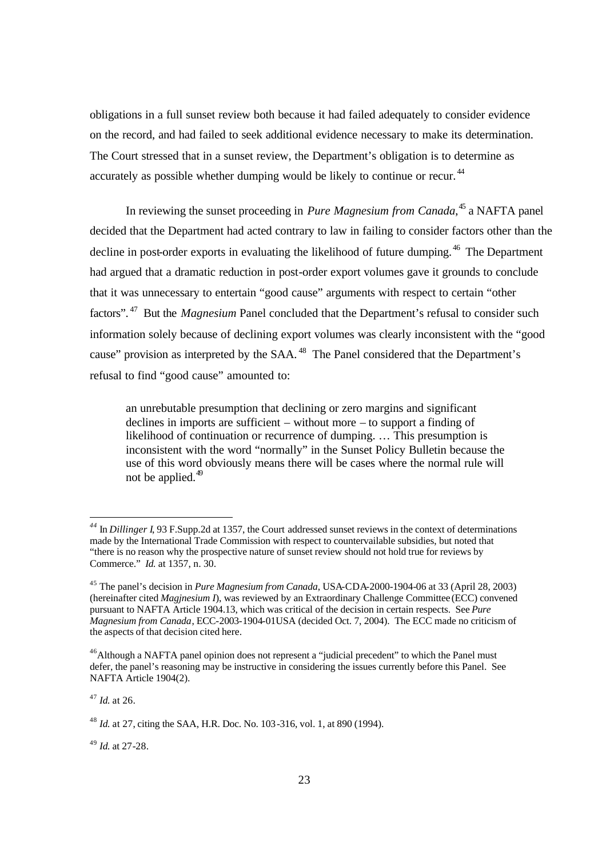obligations in a full sunset review both because it had failed adequately to consider evidence on the record, and had failed to seek additional evidence necessary to make its determination. The Court stressed that in a sunset review, the Department's obligation is to determine as accurately as possible whether dumping would be likely to continue or recur.<sup>44</sup>

In reviewing the sunset proceeding in *Pure Magnesium from Canada*, <sup>45</sup> a NAFTA panel decided that the Department had acted contrary to law in failing to consider factors other than the decline in post-order exports in evaluating the likelihood of future dumping.<sup>46</sup> The Department had argued that a dramatic reduction in post-order export volumes gave it grounds to conclude that it was unnecessary to entertain "good cause" arguments with respect to certain "other factors". <sup>47</sup> But the *Magnesium* Panel concluded that the Department's refusal to consider such information solely because of declining export volumes was clearly inconsistent with the "good cause" provision as interpreted by the SAA.<sup>48</sup> The Panel considered that the Department's refusal to find "good cause" amounted to:

an unrebutable presumption that declining or zero margins and significant declines in imports are sufficient – without more – to support a finding of likelihood of continuation or recurrence of dumping. … This presumption is inconsistent with the word "normally" in the Sunset Policy Bulletin because the use of this word obviously means there will be cases where the normal rule will not be applied.<sup>49</sup>

<sup>47</sup> *Id.* at 26.

 $\overline{a}$ 

<sup>49</sup> *Id.* at 27-28.

*<sup>44</sup>* In *Dillinger I*, 93 F.Supp.2d at 1357, the Court addressed sunset reviews in the context of determinations made by the International Trade Commission with respect to countervailable subsidies, but noted that "there is no reason why the prospective nature of sunset review should not hold true for reviews by Commerce." *Id.* at 1357, n. 30.

<sup>45</sup> The panel's decision in *Pure Magnesium from Canada*, USA-CDA-2000-1904-06 at 33 (April 28, 2003) (hereinafter cited *Magjnesium I*), was reviewed by an Extraordinary Challenge Committee (ECC) convened pursuant to NAFTA Article 1904.13, which was critical of the decision in certain respects. See *Pure Magnesium from Canada*, ECC-2003-1904-01USA (decided Oct. 7, 2004). The ECC made no criticism of the aspects of that decision cited here.

<sup>&</sup>lt;sup>46</sup>Although a NAFTA panel opinion does not represent a "judicial precedent" to which the Panel must defer, the panel's reasoning may be instructive in considering the issues currently before this Panel. See NAFTA Article 1904(2).

<sup>48</sup> *Id.* at 27, citing the SAA, H.R. Doc. No. 103-316, vol. 1, at 890 (1994).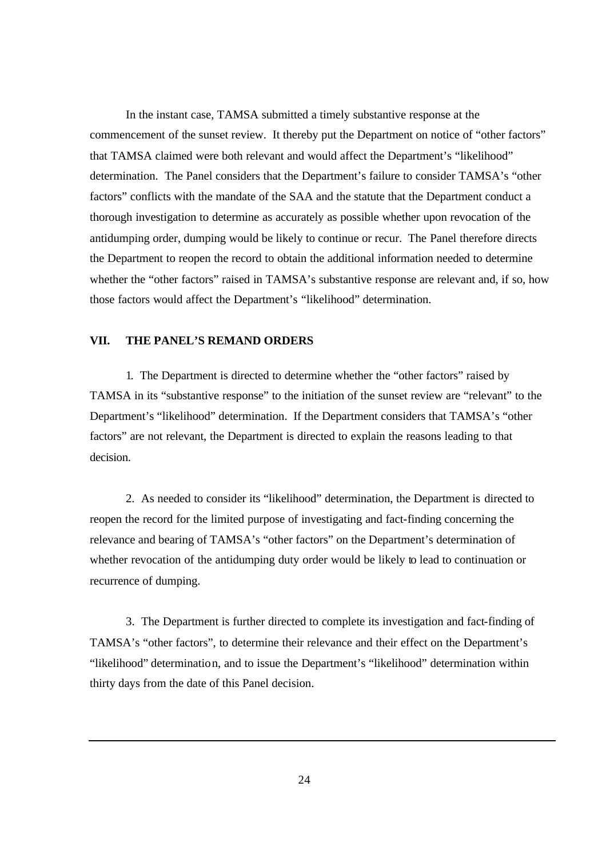In the instant case, TAMSA submitted a timely substantive response at the commencement of the sunset review. It thereby put the Department on notice of "other factors" that TAMSA claimed were both relevant and would affect the Department's "likelihood" determination. The Panel considers that the Department's failure to consider TAMSA's "other factors" conflicts with the mandate of the SAA and the statute that the Department conduct a thorough investigation to determine as accurately as possible whether upon revocation of the antidumping order, dumping would be likely to continue or recur. The Panel therefore directs the Department to reopen the record to obtain the additional information needed to determine whether the "other factors" raised in TAMSA's substantive response are relevant and, if so, how those factors would affect the Department's "likelihood" determination.

## **VII. THE PANEL'S REMAND ORDERS**

1.The Department is directed to determine whether the "other factors" raised by TAMSA in its "substantive response" to the initiation of the sunset review are "relevant" to the Department's "likelihood" determination. If the Department considers that TAMSA's "other factors" are not relevant, the Department is directed to explain the reasons leading to that decision.

2. As needed to consider its "likelihood" determination, the Department is directed to reopen the record for the limited purpose of investigating and fact-finding concerning the relevance and bearing of TAMSA's "other factors" on the Department's determination of whether revocation of the antidumping duty order would be likely to lead to continuation or recurrence of dumping.

3. The Department is further directed to complete its investigation and fact-finding of TAMSA's "other factors", to determine their relevance and their effect on the Department's "likelihood" determination, and to issue the Department's "likelihood" determination within thirty days from the date of this Panel decision.